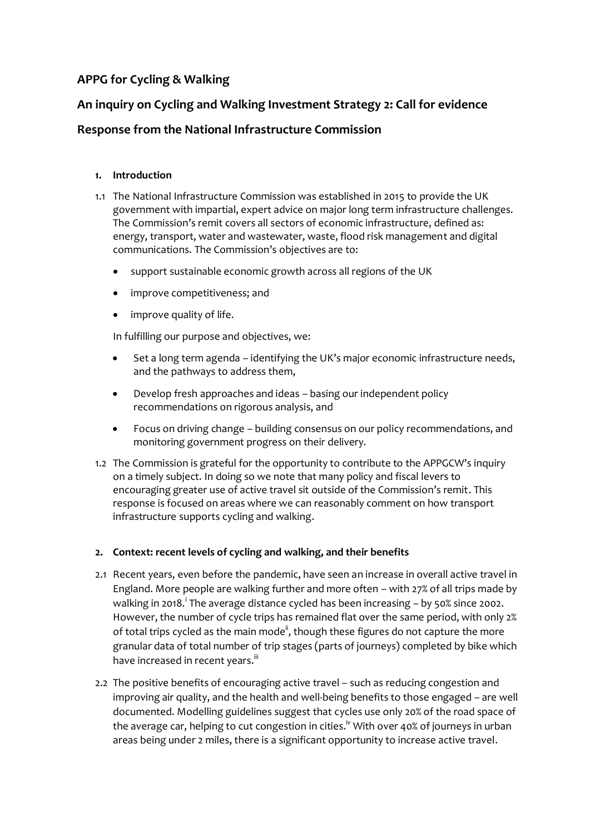# **APPG for Cycling & Walking**

## **An inquiry on Cycling and Walking Investment Strategy 2: Call for evidence**

## **Response from the National Infrastructure Commission**

### **1. Introduction**

- 1.1 The National Infrastructure Commission was established in 2015 to provide the UK government with impartial, expert advice on major long term infrastructure challenges. The Commission's remit covers all sectors of economic infrastructure, defined as: energy, transport, water and wastewater, waste, flood risk management and digital communications. The Commission's objectives are to:
	- support sustainable economic growth across all regions of the UK
	- improve competitiveness; and
	- improve quality of life.

In fulfilling our purpose and objectives, we:

- Set a long term agenda identifying the UK's major economic infrastructure needs, and the pathways to address them,
- Develop fresh approaches and ideas basing our independent policy recommendations on rigorous analysis, and
- Focus on driving change building consensus on our policy recommendations, and monitoring government progress on their delivery.
- 1.2 The Commission is grateful for the opportunity to contribute to the APPGCW's inquiry on a timely subject. In doing so we note that many policy and fiscal levers to encouraging greater use of active travel sit outside of the Commission's remit. This response is focused on areas where we can reasonably comment on how transport infrastructure supports cycling and walking.

### **2. Context: recent levels of cycling and walking, and their benefits**

- 2.1 Recent years, even before the pandemic, have seen an increase in overall active travel in England. More people are walking further and more often – with 27% of all trips made by walking in 2018.<sup>i</sup> The average distance cycled has been increasing - by 50% since 2002. However, the number of cycle trips has remained flat over the same period, with only 2% of total trips cycled as the main mode<sup>ii</sup>, though these figures do not capture the more granular data of total number of trip stages (parts of journeys) completed by bike which have increased in recent years.<sup>iii</sup>
- 2.2 The positive benefits of encouraging active travel such as reducing congestion and improving air quality, and the health and well-being benefits to those engaged – are well documented. Modelling guidelines suggest that cycles use only 20% of the road space of the average car, helping to cut congestion in cities.<sup>iv</sup> With over 40% of journeys in urban areas being under 2 miles, there is a significant opportunity to increase active travel.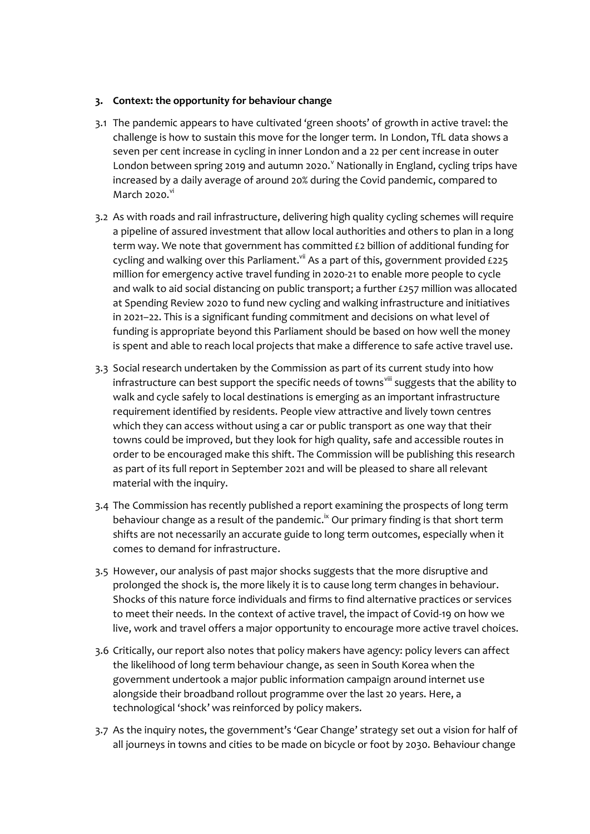#### **3. Context: the opportunity for behaviour change**

- 3.1 The pandemic appears to have cultivated 'green shoots' of growth in active travel: the challenge is how to sustain this move for the longer term. In London, TfL data shows a seven per cent increase in cycling in inner London and a 22 per cent increase in outer London between spring 2019 and autumn 2020. $^{\prime}$  Nationally in England, cycling trips have increased by a daily average of around 20% during the Covid pandemic, compared to March 2020. $\mathrm{v}^{\mathrm{v}}$
- 3.2 As with roads and rail infrastructure, delivering high quality cycling schemes will require a pipeline of assured investment that allow local authorities and others to plan in a long term way. We note that government has committed £2 billion of additional funding for cycling and walking over this Parliament. $v$ <sup>ii</sup> As a part of this, government provided £225 million for emergency active travel funding in 2020-21 to enable more people to cycle and walk to aid social distancing on public transport; a further £257 million was allocated at Spending Review 2020 to fund new cycling and walking infrastructure and initiatives in 2021–22. This is a significant funding commitment and decisions on what level of funding is appropriate beyond this Parliament should be based on how well the money is spent and able to reach local projects that make a difference to safe active travel use.
- 3.3 Social research undertaken by the Commission as part of its current study into how infrastructure can best support the specific needs of towns<sup>viii</sup> suggests that the ability to walk and cycle safely to local destinations is emerging as an important infrastructure requirement identified by residents. People view attractive and lively town centres which they can access without using a car or public transport as one way that their towns could be improved, but they look for high quality, safe and accessible routes in order to be encouraged make this shift. The Commission will be publishing this research as part of its full report in September 2021 and will be pleased to share all relevant material with the inquiry.
- 3.4 The Commission has recently published a report examining the prospects of long term behaviour change as a result of the pandemic.<sup>ix</sup> Our primary finding is that short term shifts are not necessarily an accurate guide to long term outcomes, especially when it comes to demand for infrastructure.
- 3.5 However, our analysis of past major shocks suggests that the more disruptive and prolonged the shock is, the more likely it is to cause long term changes in behaviour. Shocks of this nature force individuals and firms to find alternative practices or services to meet their needs. In the context of active travel, the impact of Covid-19 on how we live, work and travel offers a major opportunity to encourage more active travel choices.
- 3.6 Critically, our report also notes that policy makers have agency: policy levers can affect the likelihood of long term behaviour change, as seen in South Korea when the government undertook a major public information campaign around internet use alongside their broadband rollout programme over the last 20 years. Here, a technological 'shock' was reinforced by policy makers.
- 3.7 As the inquiry notes, the government's 'Gear Change' strategy set out a vision for half of all journeys in towns and cities to be made on bicycle or foot by 2030. Behaviour change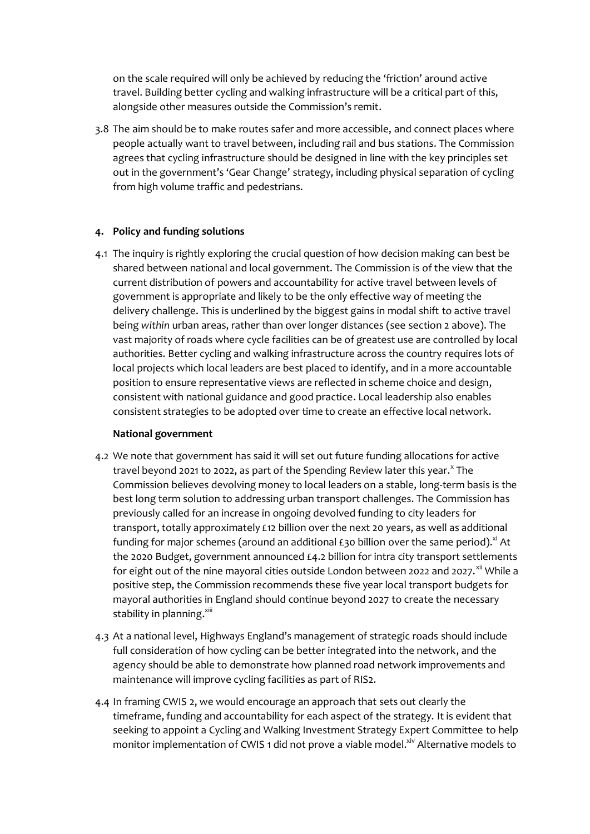on the scale required will only be achieved by reducing the 'friction' around active travel. Building better cycling and walking infrastructure will be a critical part of this, alongside other measures outside the Commission's remit.

3.8 The aim should be to make routes safer and more accessible, and connect places where people actually want to travel between, including rail and bus stations. The Commission agrees that cycling infrastructure should be designed in line with the key principles set out in the government's 'Gear Change' strategy, including physical separation of cycling from high volume traffic and pedestrians.

#### **4. Policy and funding solutions**

4.1 The inquiry is rightly exploring the crucial question of how decision making can best be shared between national and local government. The Commission is of the view that the current distribution of powers and accountability for active travel between levels of government is appropriate and likely to be the only effective way of meeting the delivery challenge. This is underlined by the biggest gains in modal shift to active travel being *within* urban areas, rather than over longer distances (see section 2 above). The vast majority of roads where cycle facilities can be of greatest use are controlled by local authorities. Better cycling and walking infrastructure across the country requires lots of local projects which local leaders are best placed to identify, and in a more accountable position to ensure representative views are reflected in scheme choice and design, consistent with national guidance and good practice. Local leadership also enables consistent strategies to be adopted over time to create an effective local network.

#### **National government**

- 4.2 We note that government has said it will set out future funding allocations for active travel beyond 2021 to 2022, as part of the Spending Review later this year.<sup>x</sup> The Commission believes devolving money to local leaders on a stable, long-term basis is the best long term solution to addressing urban transport challenges. The Commission has previously called for an increase in ongoing devolved funding to city leaders for transport, totally approximately £12 billion over the next 20 years, as well as additional funding for major schemes (around an additional £30 billion over the same period).<sup>xi</sup> At the 2020 Budget, government announced £4.2 billion for intra city transport settlements for eight out of the nine mayoral cities outside London between 2022 and 2027. $^{xii}$  While a positive step, the Commission recommends these five year local transport budgets for mayoral authorities in England should continue beyond 2027 to create the necessary stability in planning.<sup>xiii</sup>
- 4.3 At a national level, Highways England's management of strategic roads should include full consideration of how cycling can be better integrated into the network, and the agency should be able to demonstrate how planned road network improvements and maintenance will improve cycling facilities as part of RIS2.
- 4.4 In framing CWIS 2, we would encourage an approach that sets out clearly the timeframe, funding and accountability for each aspect of the strategy. It is evident that seeking to appoint a Cycling and Walking Investment Strategy Expert Committee to help monitor implementation of CWIS 1 did not prove a viable model.<sup>xiv</sup> Alternative models to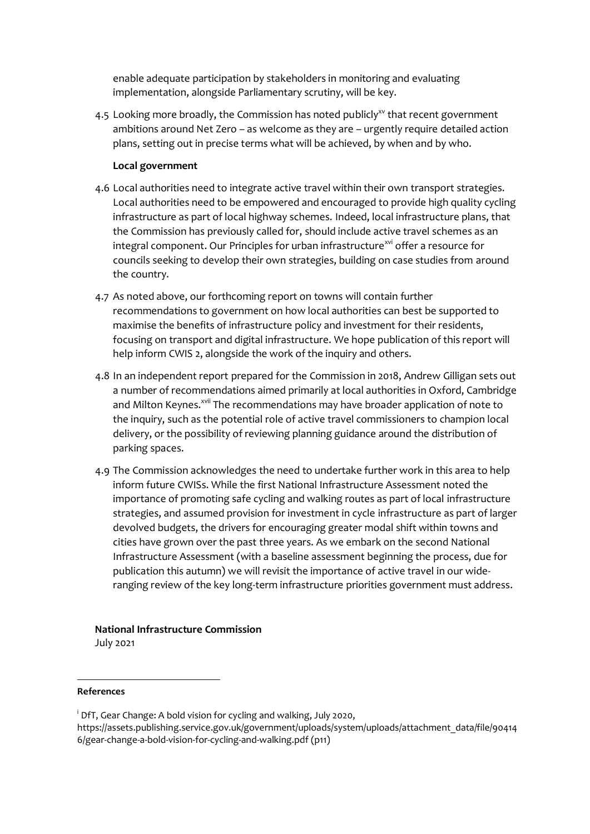enable adequate participation by stakeholders in monitoring and evaluating implementation, alongside Parliamentary scrutiny, will be key.

4.5 Looking more broadly, the Commission has noted publicly<sup>xy</sup> that recent government ambitions around Net Zero – as welcome as they are – urgently require detailed action plans, setting out in precise terms what will be achieved, by when and by who.

### **Local government**

- 4.6 Local authorities need to integrate active travel within their own transport strategies. Local authorities need to be empowered and encouraged to provide high quality cycling infrastructure as part of local highway schemes. Indeed, local infrastructure plans, that the Commission has previously called for, should include active travel schemes as an integral component. Our Principles for urban infrastructure<sup>xvi</sup> offer a resource for councils seeking to develop their own strategies, building on case studies from around the country.
- 4.7 As noted above, our forthcoming report on towns will contain further recommendations to government on how local authorities can best be supported to maximise the benefits of infrastructure policy and investment for their residents, focusing on transport and digital infrastructure. We hope publication of this report will help inform CWIS 2, alongside the work of the inquiry and others.
- 4.8 In an independent report prepared for the Commission in 2018, Andrew Gilligan sets out a number of recommendations aimed primarily at local authorities in Oxford, Cambridge and Milton Keynes.<sup>xvii</sup> The recommendations may have broader application of note to the inquiry, such as the potential role of active travel commissioners to champion local delivery, or the possibility of reviewing planning guidance around the distribution of parking spaces.
- 4.9 The Commission acknowledges the need to undertake further work in this area to help inform future CWISs. While the first National Infrastructure Assessment noted the importance of promoting safe cycling and walking routes as part of local infrastructure strategies, and assumed provision for investment in cycle infrastructure as part of larger devolved budgets, the drivers for encouraging greater modal shift within towns and cities have grown over the past three years. As we embark on the second National Infrastructure Assessment (with a baseline assessment beginning the process, due for publication this autumn) we will revisit the importance of active travel in our wideranging review of the key long-term infrastructure priorities government must address.

#### **National Infrastructure Commission**

July 2021

#### **References**

<sup>&</sup>lt;sup>i</sup> DfT, Gear Change: A bold vision for cycling and walking, July 2020,

https://assets.publishing.service.gov.uk/government/uploads/system/uploads/attachment\_data/file/90414 6/gear-change-a-bold-vision-for-cycling-and-walking.pdf (p11)